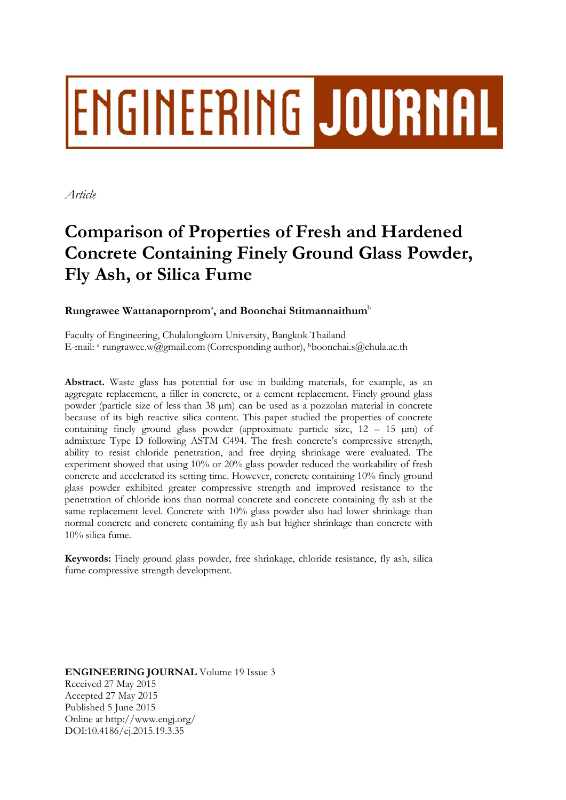# ENGINEERING JOURNAL

*Article* 

# **Comparison of Properties of Fresh and Hardened Concrete Containing Finely Ground Glass Powder, Fly Ash, or Silica Fume**

# Rungrawee Wattanapornprom<sup>a</sup>, and Boonchai Stitmannaithum<sup>b</sup>

Faculty of Engineering, Chulalongkorn University, Bangkok Thailand E-mail: a rungrawee.w@gmail.com (Corresponding author), bboonchai.s@chula.ac.th

**Abstract.** Waste glass has potential for use in building materials, for example, as an aggregate replacement, a filler in concrete, or a cement replacement. Finely ground glass powder (particle size of less than 38 µm) can be used as a pozzolan material in concrete because of its high reactive silica content. This paper studied the properties of concrete containing finely ground glass powder (approximate particle size,  $12 - 15 \text{ }\mu\text{m}$ ) of admixture Type D following ASTM C494. The fresh concrete's compressive strength, ability to resist chloride penetration, and free drying shrinkage were evaluated. The experiment showed that using 10% or 20% glass powder reduced the workability of fresh concrete and accelerated its setting time. However, concrete containing 10% finely ground glass powder exhibited greater compressive strength and improved resistance to the penetration of chloride ions than normal concrete and concrete containing fly ash at the same replacement level. Concrete with 10% glass powder also had lower shrinkage than normal concrete and concrete containing fly ash but higher shrinkage than concrete with 10% silica fume.

**Keywords:** Finely ground glass powder, free shrinkage, chloride resistance, fly ash, silica fume compressive strength development.

**ENGINEERING JOURNAL** Volume 19 Issue 3 Received 27 May 2015 Accepted 27 May 2015 Published 5 June 2015 Online at http://www.engj.org/ DOI:10.4186/ej.2015.19.3.35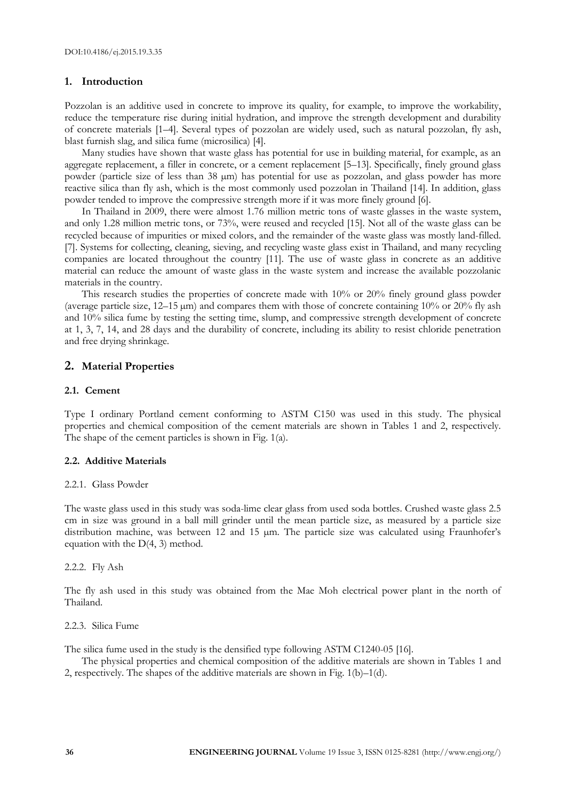## **1. Introduction**

Pozzolan is an additive used in concrete to improve its quality, for example, to improve the workability, reduce the temperature rise during initial hydration, and improve the strength development and durability of concrete materials [1–4]. Several types of pozzolan are widely used, such as natural pozzolan, fly ash, blast furnish slag, and silica fume (microsilica) [4].

Many studies have shown that waste glass has potential for use in building material, for example, as an aggregate replacement, a filler in concrete, or a cement replacement [5–13]. Specifically, finely ground glass powder (particle size of less than 38 µm) has potential for use as pozzolan, and glass powder has more reactive silica than fly ash, which is the most commonly used pozzolan in Thailand [14]. In addition, glass powder tended to improve the compressive strength more if it was more finely ground [6].

In Thailand in 2009, there were almost 1.76 million metric tons of waste glasses in the waste system, and only 1.28 million metric tons, or 73%, were reused and recycled [15]. Not all of the waste glass can be recycled because of impurities or mixed colors, and the remainder of the waste glass was mostly land-filled. [7]. Systems for collecting, cleaning, sieving, and recycling waste glass exist in Thailand, and many recycling companies are located throughout the country [11]. The use of waste glass in concrete as an additive material can reduce the amount of waste glass in the waste system and increase the available pozzolanic materials in the country.

This research studies the properties of concrete made with 10% or 20% finely ground glass powder (average particle size, 12–15 µm) and compares them with those of concrete containing 10% or 20% fly ash and 10% silica fume by testing the setting time, slump, and compressive strength development of concrete at 1, 3, 7, 14, and 28 days and the durability of concrete, including its ability to resist chloride penetration and free drying shrinkage.

# **2. Material Properties**

## **2.1. Cement**

Type I ordinary Portland cement conforming to ASTM C150 was used in this study. The physical properties and chemical composition of the cement materials are shown in Tables 1 and 2, respectively. The shape of the cement particles is shown in Fig. 1(a).

#### **2.2. Additive Materials**

#### 2.2.1. Glass Powder

The waste glass used in this study was soda-lime clear glass from used soda bottles. Crushed waste glass 2.5 cm in size was ground in a ball mill grinder until the mean particle size, as measured by a particle size distribution machine, was between 12 and 15 µm. The particle size was calculated using Fraunhofer's equation with the  $D(4, 3)$  method.

#### 2.2.2. Fly Ash

The fly ash used in this study was obtained from the Mae Moh electrical power plant in the north of Thailand.

#### 2.2.3. Silica Fume

The silica fume used in the study is the densified type following ASTM C1240-05 [16].

The physical properties and chemical composition of the additive materials are shown in Tables 1 and 2, respectively. The shapes of the additive materials are shown in Fig. 1(b)–1(d).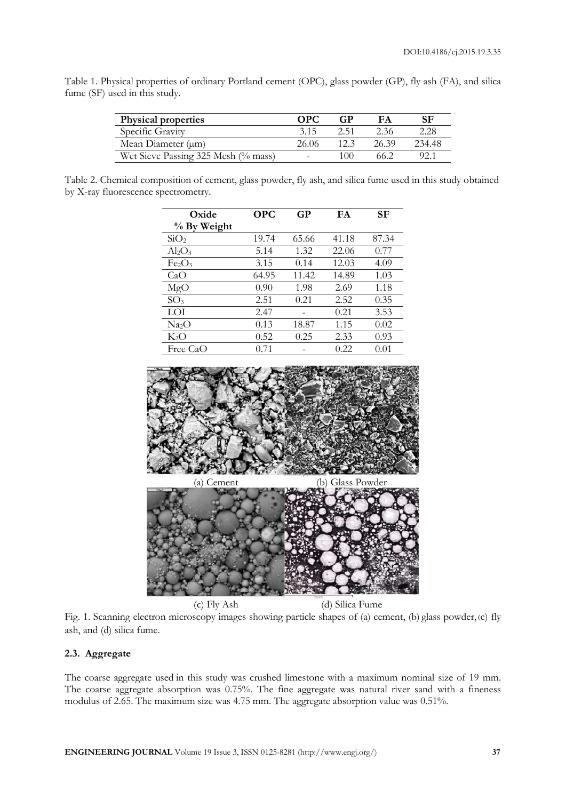|  | Table 1. Physical properties of ordinary Portland cement (OPC), glass powder (GP), fly ash (FA), and silica |  |  |  |  |  |  |
|--|-------------------------------------------------------------------------------------------------------------|--|--|--|--|--|--|
|  | fume (SF) used in this study.                                                                               |  |  |  |  |  |  |

| <b>Physical properties</b>          | OPC.  | GP   | FA    | SF     |
|-------------------------------------|-------|------|-------|--------|
| Specific Gravity                    | 3.15  | 2.51 | 2.36  | 2.28   |
| Mean Diameter $(\mu m)$             | 26.06 |      | 26.39 | 234.48 |
| Wet Sieve Passing 325 Mesh (% mass) |       | 100  | 66.2  | 92.1   |

Table 2. Chemical composition of cement, glass powder, fly ash, and silica fume used in this study obtained by X-ray fluorescence spectrometry.

| Oxide                          | <b>OPC</b> | GP    | FA    | SF    |
|--------------------------------|------------|-------|-------|-------|
| % By Weight                    |            |       |       |       |
| SiO <sub>2</sub>               | 19.74      | 65.66 | 41.18 | 87.34 |
| $Al_2O_3$                      | 5.14       | 1.32  | 22.06 | 0.77  |
| Fe <sub>2</sub> O <sub>3</sub> | 3.15       | 0.14  | 12.03 | 4.09  |
| CaO                            | 64.95      | 11.42 | 14.89 | 1.03  |
| MgO                            | 0.90       | 1.98  | 2.69  | 1.18  |
| SO <sub>3</sub>                | 2.51       | 0.21  | 2.52  | 0.35  |
| LOI                            | 2.47       |       | 0.21  | 3.53  |
| Na <sub>2</sub> O              | 0.13       | 18.87 | 1.15  | 0.02  |
| $K_2O$                         | 0.52       | 0.25  | 2.33  | 0.93  |
| Free CaO                       | 0.71       |       | 0.22  | 0.01  |



Fig. 1. Scanning electron microscopy images showing particle shapes of (a) cement, (b) glass powder, (c) fly ash, and (d) silica fume.

# **2.3. Aggregate**

The coarse aggregate used in this study was crushed limestone with a maximum nominal size of 19 mm. The coarse aggregate absorption was 0.75%. The fine aggregate was natural river sand with a fineness modulus of 2.65. The maximum size was 4.75 mm. The aggregate absorption value was 0.51%.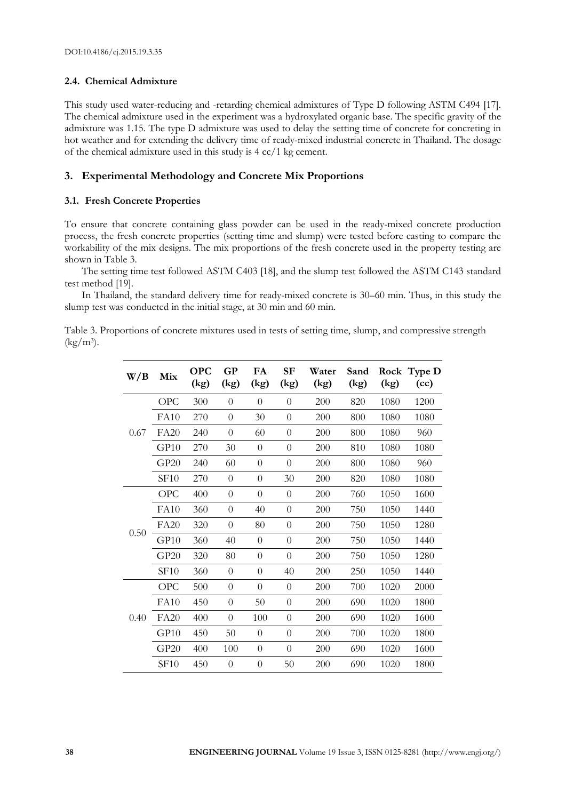# **2.4. Chemical Admixture**

This study used water-reducing and -retarding chemical admixtures of Type D following ASTM C494 [17]. The chemical admixture used in the experiment was a hydroxylated organic base. The specific gravity of the admixture was 1.15. The type D admixture was used to delay the setting time of concrete for concreting in hot weather and for extending the delivery time of ready-mixed industrial concrete in Thailand. The dosage of the chemical admixture used in this study is 4 cc/1 kg cement.

# **3. Experimental Methodology and Concrete Mix Proportions**

# **3.1. Fresh Concrete Properties**

To ensure that concrete containing glass powder can be used in the ready-mixed concrete production process, the fresh concrete properties (setting time and slump) were tested before casting to compare the workability of the mix designs. The mix proportions of the fresh concrete used in the property testing are shown in Table 3.

The setting time test followed ASTM C403 [18], and the slump test followed the ASTM C143 standard test method [19].

In Thailand, the standard delivery time for ready-mixed concrete is 30–60 min. Thus, in this study the slump test was conducted in the initial stage, at 30 min and 60 min.

Table 3. Proportions of concrete mixtures used in tests of setting time, slump, and compressive strength  $(kg/m^3)$ .

| W/B  | Mix         | <b>OPC</b><br>(kg) | <b>GP</b><br>(kg) | FA<br>(kg)     | <b>SF</b><br>(kg) | Water<br>(kg) | Sand<br>(kg) | (kg) | Rock Type D<br>(cc) |
|------|-------------|--------------------|-------------------|----------------|-------------------|---------------|--------------|------|---------------------|
|      | <b>OPC</b>  | 300                | $\theta$          | $\overline{0}$ | $\theta$          | 200           | 820          | 1080 | 1200                |
|      | <b>FA10</b> | 270                | $\theta$          | 30             | $\theta$          | 200           | 800          | 1080 | 1080                |
| 0.67 | FA20        | 240                | $\theta$          | 60             | $\theta$          | 200           | 800          | 1080 | 960                 |
|      | GP10        | 270                | 30                | $\theta$       | $\theta$          | 200           | 810          | 1080 | 1080                |
|      | GP20        | 240                | 60                | $\theta$       | $\theta$          | 200           | 800          | 1080 | 960                 |
|      | <b>SF10</b> | 270                | $\overline{0}$    | $\theta$       | 30                | 200           | 820          | 1080 | 1080                |
|      | <b>OPC</b>  | 400                | $\theta$          | $\overline{0}$ | $\theta$          | 200           | 760          | 1050 | 1600                |
|      | <b>FA10</b> | 360                | $\theta$          | 40             | $\theta$          | 200           | 750          | 1050 | 1440                |
| 0.50 | <b>FA20</b> | 320                | $\theta$          | 80             | $\theta$          | 200           | 750          | 1050 | 1280                |
|      | GP10        | 360                | 40                | $\theta$       | $\overline{0}$    | 200           | 750          | 1050 | 1440                |
|      | GP20        | 320                | 80                | 0              | $\theta$          | 200           | 750          | 1050 | 1280                |
|      | <b>SF10</b> | 360                | $\overline{0}$    | $\overline{0}$ | 40                | 200           | 250          | 1050 | 1440                |
|      | <b>OPC</b>  | 500                | $\overline{0}$    | $\overline{0}$ | $\overline{0}$    | 200           | 700          | 1020 | 2000                |
|      | <b>FA10</b> | 450                | $\theta$          | 50             | $\theta$          | 200           | 690          | 1020 | 1800                |
| 0.40 | <b>FA20</b> | 400                | $\overline{0}$    | 100            | $\overline{0}$    | 200           | 690          | 1020 | 1600                |
|      | GP10        | 450                | 50                | $\overline{0}$ | $\theta$          | 200           | 700          | 1020 | 1800                |
|      | GP20        | 400                | 100               | $\overline{0}$ | $\theta$          | 200           | 690          | 1020 | 1600                |
|      | <b>SF10</b> | 450                | $\overline{0}$    | $\overline{0}$ | 50                | $200\,$       | 690          | 1020 | 1800                |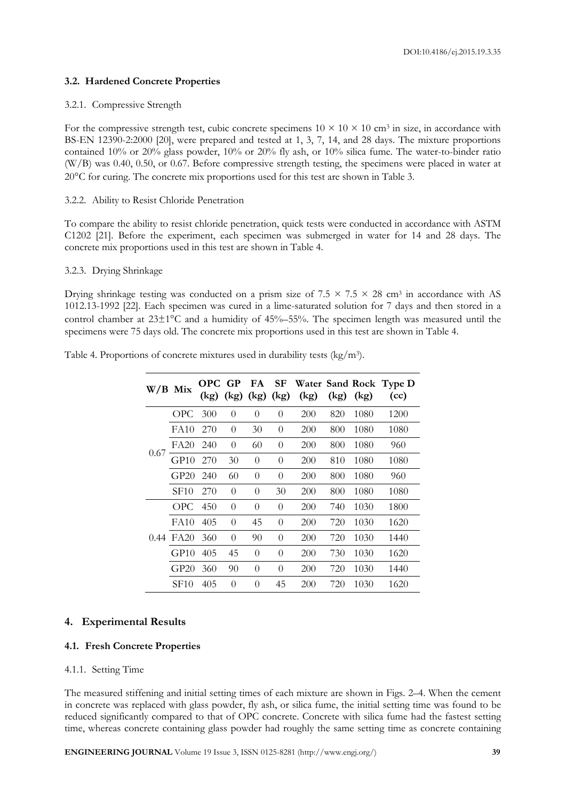# **3.2. Hardened Concrete Properties**

# 3.2.1. Compressive Strength

For the compressive strength test, cubic concrete specimens  $10 \times 10 \times 10$  cm<sup>3</sup> in size, in accordance with BS-EN 12390-2:2000 [20], were prepared and tested at 1, 3, 7, 14, and 28 days. The mixture proportions contained 10% or 20% glass powder, 10% or 20% fly ash, or 10% silica fume. The water-to-binder ratio (W/B) was 0.40, 0.50, or 0.67. Before compressive strength testing, the specimens were placed in water at 20C for curing. The concrete mix proportions used for this test are shown in Table 3.

# 3.2.2. Ability to Resist Chloride Penetration

To compare the ability to resist chloride penetration, quick tests were conducted in accordance with ASTM C1202 [21]. Before the experiment, each specimen was submerged in water for 14 and 28 days. The concrete mix proportions used in this test are shown in Table 4.

# 3.2.3. Drying Shrinkage

Drying shrinkage testing was conducted on a prism size of  $7.5 \times 7.5 \times 28$  cm<sup>3</sup> in accordance with AS 1012.13-1992 [22]. Each specimen was cured in a lime-saturated solution for 7 days and then stored in a control chamber at  $23\pm1\degree$ C and a humidity of  $45\% - 55\%$ . The specimen length was measured until the specimens were 75 days old. The concrete mix proportions used in this test are shown in Table 4.

| W/B Mix |             | OPC GP<br>(kg) |          |          |          | $(kg)$ $(kg)$ $(kg)$ $(kg)$ | (kg) | (kg) | FA SF Water Sand Rock Type D<br>(cc) |
|---------|-------------|----------------|----------|----------|----------|-----------------------------|------|------|--------------------------------------|
|         | OPC.        | 300            | $\theta$ | 0        | $\Omega$ | 200                         | 820  | 1080 | 1200                                 |
|         | FA10        | 270            | $\theta$ | 30       | $\theta$ | 200                         | 800  | 1080 | 1080                                 |
| 0.67    | FA20        | 240            | $\theta$ | 60       | $\theta$ | 200                         | 800  | 1080 | 960                                  |
|         | GPI0        | 270            | 30       | $\theta$ | $\theta$ | 200                         | 810  | 1080 | 1080                                 |
|         | GP20        | 240            | 60       | 0        | $\theta$ | 200                         | 800  | 1080 | 960                                  |
|         | SF10        | 270            | $\theta$ | $\theta$ | 30       | 200                         | 800  | 1080 | 1080                                 |
|         | <b>OPC</b>  | 450            | $\theta$ | 0        | $\theta$ | 200                         | 740  | 1030 | 1800                                 |
|         | FA10        | 405            | $\theta$ | 45       | $\theta$ | 200                         | 720  | 1030 | 1620                                 |
| 0.44    | FA20        | 360            | $\theta$ | 90       | $\theta$ | 200                         | 720  | 1030 | 1440                                 |
|         | GPI0        | 405            | 45       | $\theta$ | $\theta$ | 200                         | 730  | 1030 | 1620                                 |
|         | GP20        | 360            | 90       | $\theta$ | 0        | 200                         | 720  | 1030 | 1440                                 |
|         | <b>SF10</b> | 405            | $\theta$ | $\Omega$ | 45       | 200                         | 720  | 1030 | 1620                                 |

Table 4. Proportions of concrete mixtures used in durability tests  $(kg/m<sup>3</sup>)$ .

# **4. Experimental Results**

# **4.1. Fresh Concrete Properties**

# 4.1.1. Setting Time

The measured stiffening and initial setting times of each mixture are shown in Figs. 2–4. When the cement in concrete was replaced with glass powder, fly ash, or silica fume, the initial setting time was found to be reduced significantly compared to that of OPC concrete. Concrete with silica fume had the fastest setting time, whereas concrete containing glass powder had roughly the same setting time as concrete containing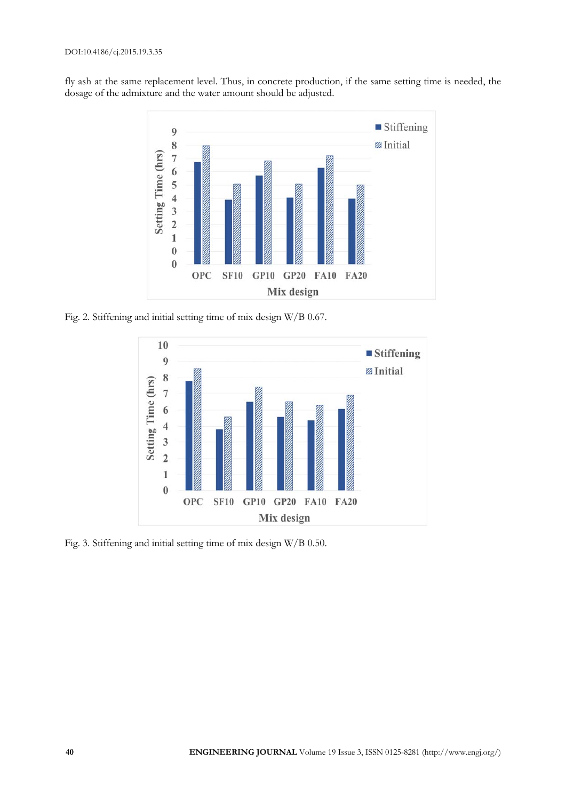fly ash at the same replacement level. Thus, in concrete production, if the same setting time is needed, the dosage of the admixture and the water amount should be adjusted.



Fig. 2. Stiffening and initial setting time of mix design W/B 0.67.



Fig. 3. Stiffening and initial setting time of mix design W/B 0.50.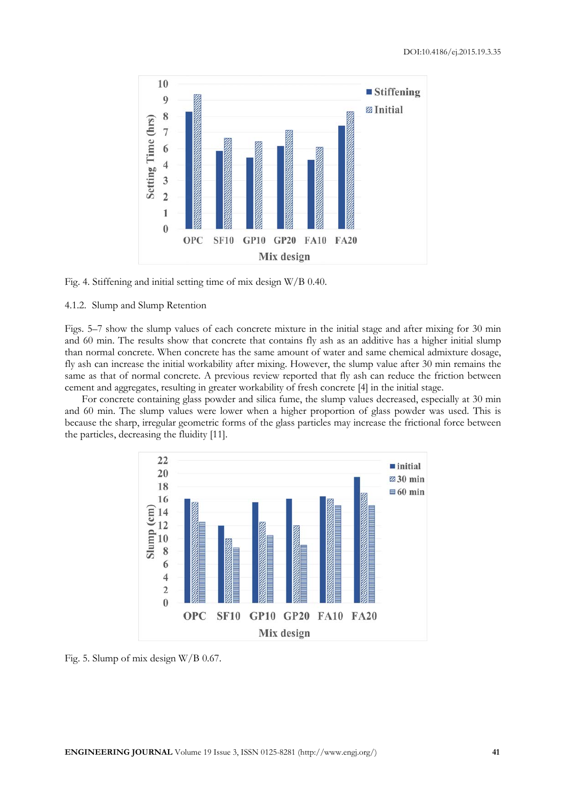

Fig. 4. Stiffening and initial setting time of mix design W/B 0.40.

# 4.1.2. Slump and Slump Retention

Figs. 5–7 show the slump values of each concrete mixture in the initial stage and after mixing for 30 min and 60 min. The results show that concrete that contains fly ash as an additive has a higher initial slump than normal concrete. When concrete has the same amount of water and same chemical admixture dosage, fly ash can increase the initial workability after mixing. However, the slump value after 30 min remains the same as that of normal concrete. A previous review reported that fly ash can reduce the friction between cement and aggregates, resulting in greater workability of fresh concrete [4] in the initial stage.

For concrete containing glass powder and silica fume, the slump values decreased, especially at 30 min and 60 min. The slump values were lower when a higher proportion of glass powder was used. This is because the sharp, irregular geometric forms of the glass particles may increase the frictional force between the particles, decreasing the fluidity [11].



Fig. 5. Slump of mix design W/B 0.67.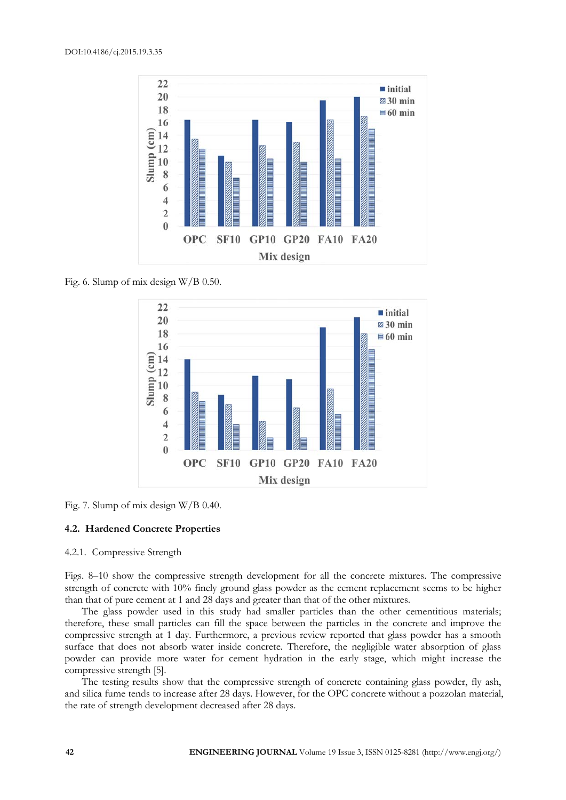

Fig. 6. Slump of mix design W/B 0.50.



Fig. 7. Slump of mix design W/B 0.40.

# **4.2. Hardened Concrete Properties**

# 4.2.1. Compressive Strength

Figs. 8–10 show the compressive strength development for all the concrete mixtures. The compressive strength of concrete with 10% finely ground glass powder as the cement replacement seems to be higher than that of pure cement at 1 and 28 days and greater than that of the other mixtures.

The glass powder used in this study had smaller particles than the other cementitious materials; therefore, these small particles can fill the space between the particles in the concrete and improve the compressive strength at 1 day. Furthermore, a previous review reported that glass powder has a smooth surface that does not absorb water inside concrete. Therefore, the negligible water absorption of glass powder can provide more water for cement hydration in the early stage, which might increase the compressive strength [5].

The testing results show that the compressive strength of concrete containing glass powder, fly ash, and silica fume tends to increase after 28 days. However, for the OPC concrete without a pozzolan material, the rate of strength development decreased after 28 days.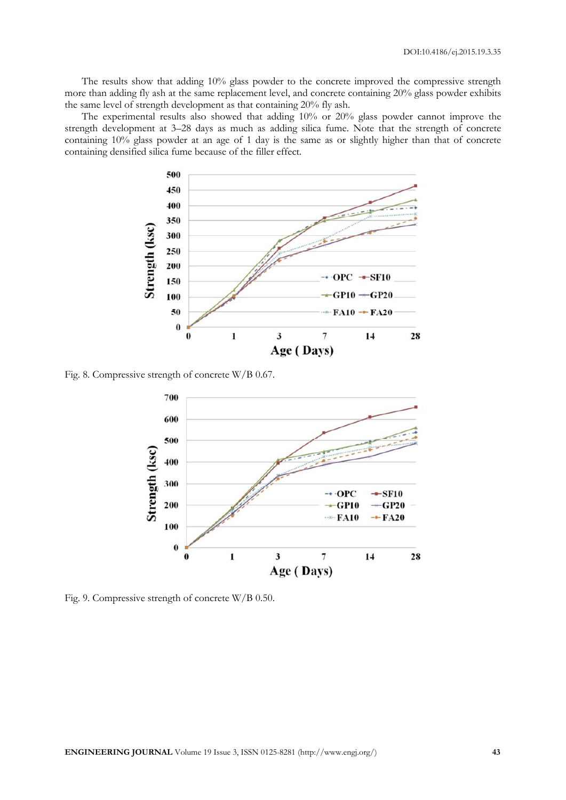The results show that adding 10% glass powder to the concrete improved the compressive strength more than adding fly ash at the same replacement level, and concrete containing 20% glass powder exhibits the same level of strength development as that containing 20% fly ash.

The experimental results also showed that adding 10% or 20% glass powder cannot improve the strength development at 3–28 days as much as adding silica fume. Note that the strength of concrete containing 10% glass powder at an age of 1 day is the same as or slightly higher than that of concrete containing densified silica fume because of the filler effect.



Fig. 8. Compressive strength of concrete W/B 0.67.



Fig. 9. Compressive strength of concrete W/B 0.50.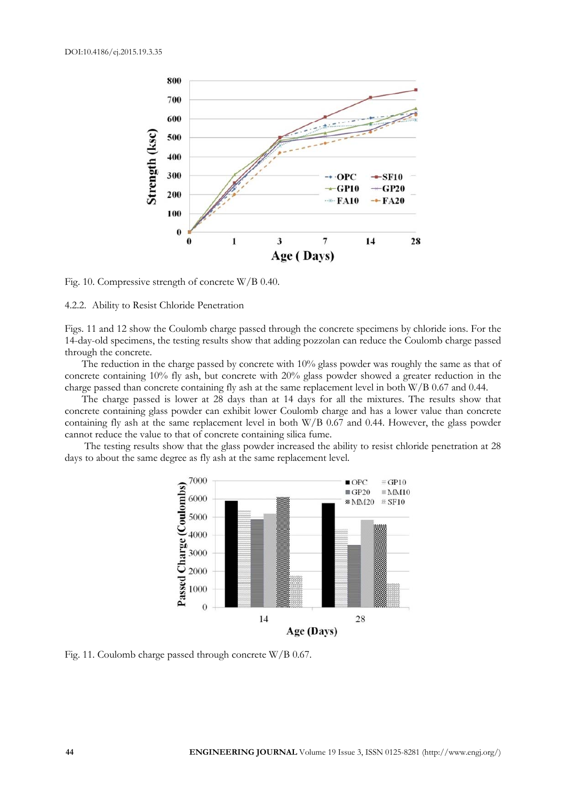

Fig. 10. Compressive strength of concrete W/B 0.40.

#### 4.2.2. Ability to Resist Chloride Penetration

Figs. 11 and 12 show the Coulomb charge passed through the concrete specimens by chloride ions. For the 14-day-old specimens, the testing results show that adding pozzolan can reduce the Coulomb charge passed through the concrete.

The reduction in the charge passed by concrete with 10% glass powder was roughly the same as that of concrete containing 10% fly ash, but concrete with 20% glass powder showed a greater reduction in the charge passed than concrete containing fly ash at the same replacement level in both W/B 0.67 and 0.44.

The charge passed is lower at 28 days than at 14 days for all the mixtures. The results show that concrete containing glass powder can exhibit lower Coulomb charge and has a lower value than concrete containing fly ash at the same replacement level in both W/B 0.67 and 0.44. However, the glass powder cannot reduce the value to that of concrete containing silica fume.

 The testing results show that the glass powder increased the ability to resist chloride penetration at 28 days to about the same degree as fly ash at the same replacement level.



Fig. 11. Coulomb charge passed through concrete W/B 0.67.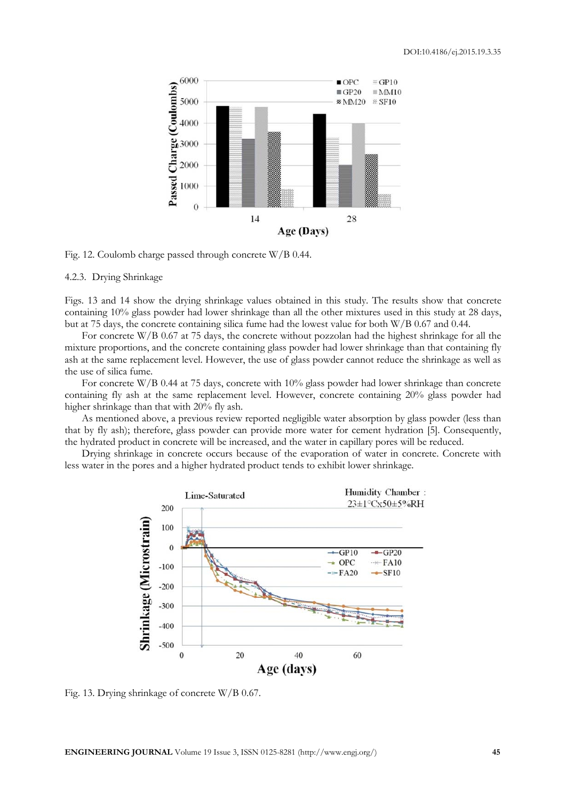

Fig. 12. Coulomb charge passed through concrete W/B 0.44.

4.2.3. Drying Shrinkage

Figs. 13 and 14 show the drying shrinkage values obtained in this study. The results show that concrete containing 10% glass powder had lower shrinkage than all the other mixtures used in this study at 28 days, but at 75 days, the concrete containing silica fume had the lowest value for both W/B 0.67 and 0.44.

For concrete W/B 0.67 at 75 days, the concrete without pozzolan had the highest shrinkage for all the mixture proportions, and the concrete containing glass powder had lower shrinkage than that containing fly ash at the same replacement level. However, the use of glass powder cannot reduce the shrinkage as well as the use of silica fume.

For concrete W/B 0.44 at 75 days, concrete with 10% glass powder had lower shrinkage than concrete containing fly ash at the same replacement level. However, concrete containing 20% glass powder had higher shrinkage than that with 20% fly ash.

As mentioned above, a previous review reported negligible water absorption by glass powder (less than that by fly ash); therefore, glass powder can provide more water for cement hydration [5]. Consequently, the hydrated product in concrete will be increased, and the water in capillary pores will be reduced.

Drying shrinkage in concrete occurs because of the evaporation of water in concrete. Concrete with less water in the pores and a higher hydrated product tends to exhibit lower shrinkage.



Fig. 13. Drying shrinkage of concrete W/B 0.67.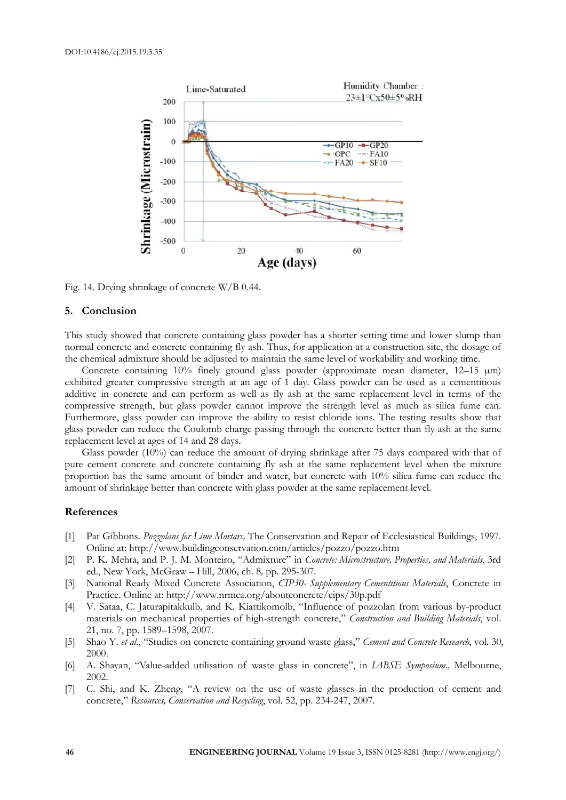

Fig. 14. Drying shrinkage of concrete W/B 0.44.

#### **5. Conclusion**

This study showed that concrete containing glass powder has a shorter setting time and lower slump than normal concrete and concrete containing fly ash. Thus, for application at a construction site, the dosage of the chemical admixture should be adjusted to maintain the same level of workability and working time.

Concrete containing  $10\%$  finely ground glass powder (approximate mean diameter,  $12-15 \text{ }\mu\text{m}$ ) exhibited greater compressive strength at an age of 1 day. Glass powder can be used as a cementitious additive in concrete and can perform as well as fly ash at the same replacement level in terms of the compressive strength, but glass powder cannot improve the strength level as much as silica fume can. Furthermore, glass powder can improve the ability to resist chloride ions. The testing results show that glass powder can reduce the Coulomb charge passing through the concrete better than fly ash at the same replacement level at ages of 14 and 28 days.

Glass powder (10%) can reduce the amount of drying shrinkage after 75 days compared with that of pure cement concrete and concrete containing fly ash at the same replacement level when the mixture proportion has the same amount of binder and water, but concrete with 10% silica fume can reduce the amount of shrinkage better than concrete with glass powder at the same replacement level.

# **References**

- [1] Pat Gibbons. *Pozzolans for Lime Mortars,* The Conservation and Repair of Ecclesiastical Buildings, 1997. Online at: http://www.buildingconservation.com/articles/pozzo/pozzo.htm
- [2] P. K. Mehta, and P. J. M. Monteiro, "Admixture" in *Concrete: Microstructure, Properties, and Materials*, 3rd ed., New York, McGraw – Hill, 2006, ch. 8*,* pp*.* 295-307*.*
- [3] National Ready Mixed Concrete Association, *CIP30- Supplementary Cementitious Materials*, Concrete in Practice. Online at: http://www.nrmca.org/aboutconcrete/cips/30p.pdf
- [4] V. Sataa, C. Jaturapitakkulb, and K. Kiattikomolb, "Influence of pozzolan from various by-product materials on mechanical properties of high-strength concrete," *Construction and Building Materials*, vol. 21, no. 7, pp. 1589–1598, 2007.
- [5] Shao Y. *et al.*, "Studies on concrete containing ground waste glass," *Cement and Concrete Research*, vol. 30, 2000.
- [6] A. Shayan, "Value-added utilisation of waste glass in concrete", in *IABSE Symposium.,* Melbourne, 2002.
- [7] C. Shi, and K. Zheng, "A review on the use of waste glasses in the production of cement and concrete," *Resources, Conservation and Recycling*, vol. 52, pp. 234-247, 2007.